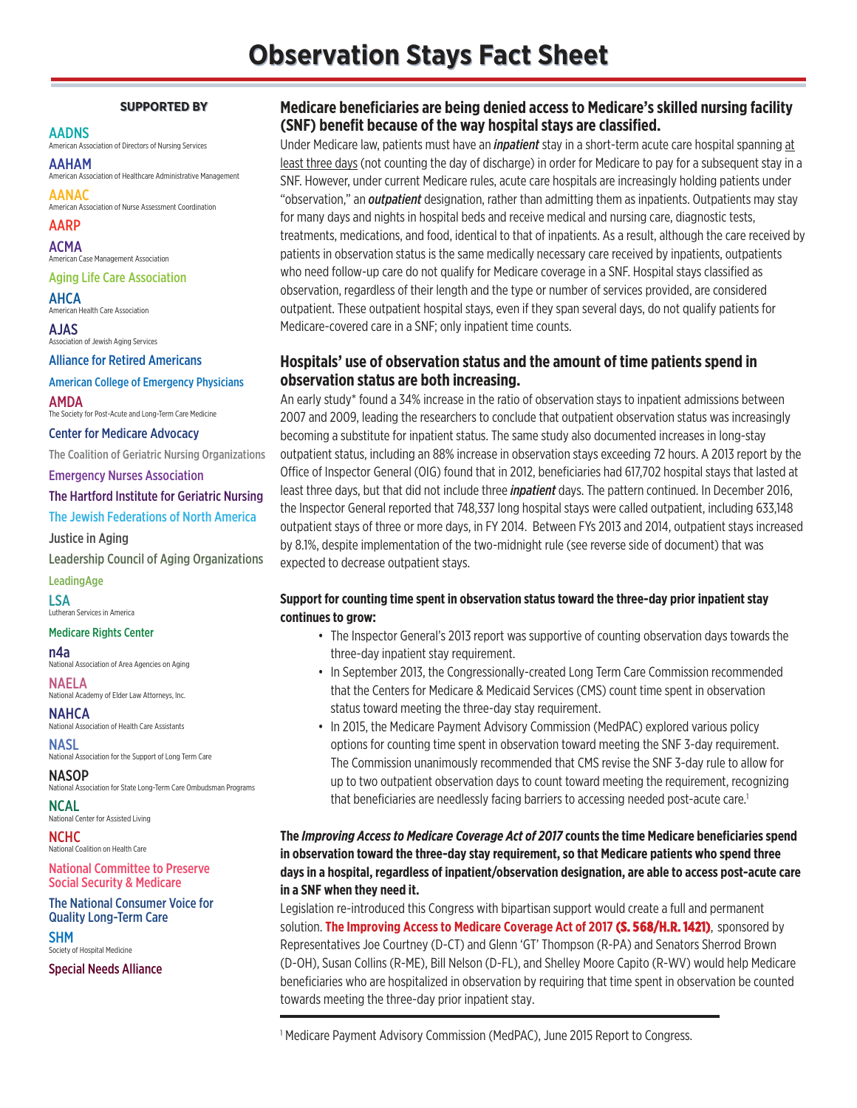### **SUPPORTED BY SUPPORTED BY**

#### AADNS

American Association of Directors of Nursing Services

AAHAM American Association of Healthcare Administrative Management

AANAC American Association of Nurse Assessment Coordination

AARP ACMA American Case Management Association

### Aging Life Care Association

AHCA

American Health Care Association AJAS

Association of Jewish Aging Services Alliance for Retired Americans

American College of Emergency Physicians

AMDA The Society for Post-Acute and Long-Term Care Medicine

Center for Medicare Advocacy

The Coalition of Geriatric Nursing Organizations

Emergency Nurses Association

### The Hartford Institute for Geriatric Nursing

The Jewish Federations of North America

Justice in Aging

Leadership Council of Aging Organizations

**LeadingAge** 

LSA Lutheran Services in America

### Medicare Rights Center

n4a

National Association of Area Agencies on Aging

NAELA National Academy of Elder Law Attorneys, Inc.

NAHCA National Association of Health Care Assistants

**NASL** National Association for the Support of Long Term Care

**NASOP** National Association for State Long-Term Care Ombudsman Programs

NCAL National Center for Assisted Living

NCHC National Coalition on Health Care

National Committee to Preserve Social Security & Medicare

The National Consumer Voice for Quality Long-Term Care

SHM Society of Hospital Medicine

Special Needs Alliance

# **Medicare beneficiaries are being denied access to Medicare's skilled nursing facility (SNF) benefit because of the way hospital stays are classified.**

Under Medicare law, patients must have an *inpatient* stay in a short-term acute care hospital spanning at least three days (not counting the day of discharge) in order for Medicare to pay for a subsequent stay in a SNF. However, under current Medicare rules, acute care hospitals are increasingly holding patients under "observation," an *outpatient* designation, rather than admitting them as inpatients. Outpatients may stay for many days and nights in hospital beds and receive medical and nursing care, diagnostic tests, treatments, medications, and food, identical to that of inpatients. As a result, although the care received by patients in observation status is the same medically necessary care received by inpatients, outpatients who need follow-up care do not qualify for Medicare coverage in a SNF. Hospital stays classified as observation, regardless of their length and the type or number of services provided, are considered outpatient. These outpatient hospital stays, even if they span several days, do not qualify patients for Medicare-covered care in a SNF; only inpatient time counts.

# **Hospitals' use of observation status and the amount of time patients spend in observation status are both increasing.**

An early study\* found a 34% increase in the ratio of observation stays to inpatient admissions between 2007 and 2009, leading the researchers to conclude that outpatient observation status was increasingly becoming a substitute for inpatient status. The same study also documented increases in long-stay outpatient status, including an 88% increase in observation stays exceeding 72 hours. A 2013 report by the Office of Inspector General (OIG) found that in 2012, beneficiaries had 617,702 hospital stays that lasted at least three days, but that did not include three *inpatient* days. The pattern continued. In December 2016, the Inspector General reported that 748,337 long hospital stays were called outpatient, including 633,148 outpatient stays of three or more days, in FY 2014. Between FYs 2013 and 2014, outpatient stays increased by 8.1%, despite implementation of the two-midnight rule (see reverse side of document) that was expected to decrease outpatient stays.

## **Support for counting time spent in observation status toward the three-day prior inpatient stay continues to grow:**

- The Inspector General's 2013 report was supportive of counting observation days towards the three-day inpatient stay requirement.
- In September 2013, the Congressionally-created Long Term Care Commission recommended that the Centers for Medicare & Medicaid Services (CMS) count time spent in observation status toward meeting the three-day stay requirement.
- In 2015, the Medicare Payment Advisory Commission (MedPAC) explored various policy options for counting time spent in observation toward meeting the SNF 3-day requirement. The Commission unanimously recommended that CMS revise the SNF 3-day rule to allow for up to two outpatient observation days to count toward meeting the requirement, recognizing that beneficiaries are needlessly facing barriers to accessing needed post-acute care.<sup>1</sup>

# **The** *Improving Access to Medicare Coverage Act of 2017* **counts the time Medicare beneficiaries spend in observation toward the three-day stay requirement, so that Medicare patients who spend three days in a hospital, regardless of inpatient/observation designation, are able to access post-acute care in a SNF when they need it.**

Legislation re-introduced this Congress with bipartisan support would create a full and permanent solution. **The Improving Access to Medicare Coverage Act of 2017 (S. 568/H.R. 1421)**, sponsored by Representatives Joe Courtney (D-CT) and Glenn 'GT' Thompson (R-PA) and Senators Sherrod Brown (D-OH), Susan Collins (R-ME), Bill Nelson (D-FL), and Shelley Moore Capito (R-WV) would help Medicare beneficiaries who are hospitalized in observation by requiring that time spent in observation be counted towards meeting the three-day prior inpatient stay.

<sup>1</sup> Medicare Payment Advisory Commission (MedPAC), June 2015 Report to Congress.